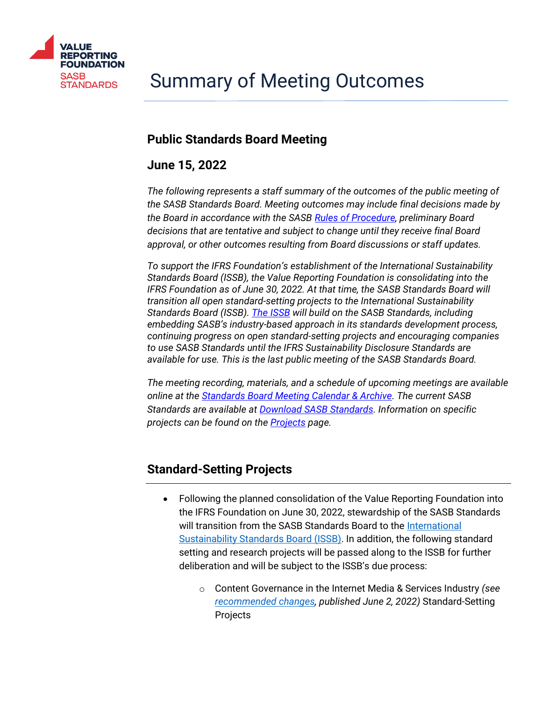

# **Public Standards Board Meeting**

# **June 15, 2022**

*The following represents a staff summary of the outcomes of the public meeting of the SASB Standards Board. Meeting outcomes may include final decisions made by the Board in accordance with the SASB [Rules of Procedure,](https://www.sasb.org/standard-setting-process/rules-of-procedure/) preliminary Board decisions that are tentative and subject to change until they receive final Board approval, or other outcomes resulting from Board discussions or staff updates.*

*To support the IFRS Foundation's establishment of the International Sustainability Standards Board (ISSB), the Value Reporting Foundation is consolidating into the IFRS Foundation as of June 30, 2022. At that time, the SASB Standards Board will transition all open standard-setting projects to the International Sustainability Standards Board (ISSB). [The ISSB](https://www.ifrs.org/news-and-events/news/2022/03/issb-communicates-plans-to-build-on-sasbs-industry-based-standards/) [will build on the SASB Standards,](https://www.ifrs.org/news-and-events/news/2022/03/issb-communicates-plans-to-build-on-sasbs-industry-based-standards/) including embedding SASB's industry-based approach in its standards development process, continuing progress on open standard-setting projects and encouraging companies to use SASB Standards until the IFRS Sustainability Disclosure Standards are available for use. This is the last public meeting of the SASB Standards Board.*

*The meeting recording, materials, and a schedule of upcoming meetings are available online at the [Standards Board Meeting Calendar & Archive.](https://www.sasb.org/standard-setting-process/calendar/) The current SASB Standards are available at [Download SASB Standards.](https://www.sasb.org/standards-overview/download-current-standards/) Information on specific projects can be found on the [Projects](https://www.sasb.org/standards/process/active-projects/) page.*

# **Standard-Setting Projects**

- Following the planned consolidation of the Value Reporting Foundation into the IFRS Foundation on June 30, 2022, stewardship of the SASB Standards will transition from the SASB Standards Board to the International [Sustainability Standards Board \(ISSB\).](https://www.ifrs.org/groups/international-sustainability-standards-board/) In addition, the following standard setting and research projects will be passed along to the ISSB for further deliberation and will be subject to the ISSB's due process:
	- o Content Governance in the Internet Media & Services Industry *(see [recommended changes,](https://www.sasb.org/wp-content/uploads/2022/06/ContentGovernanceRecommendedChangesvF.pdf) published June 2, 2022)* Standard-Setting Projects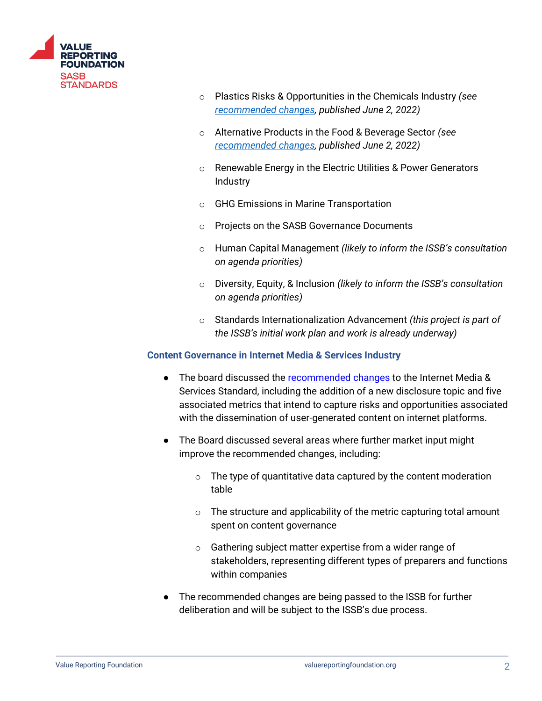

- o Plastics Risks & Opportunities in the Chemicals Industry *(see [recommended changes,](https://www.sasb.org/wp-content/uploads/2022/06/PlasticsRecommendedChangesvF.pdf) published June 2, 2022)*
- o Alternative Products in the Food & Beverage Sector *(see [recommended changes,](https://www.sasb.org/wp-content/uploads/2022/06/AltProductsRecommendedChangesvF.pdf) published June 2, 2022)*
- o Renewable Energy in the Electric Utilities & Power Generators Industry
- o GHG Emissions in Marine Transportation
- o Projects on the SASB Governance Documents
- o Human Capital Management *(likely to inform the ISSB's consultation on agenda priorities)*
- o Diversity, Equity, & Inclusion *(likely to inform the ISSB's consultation on agenda priorities)*
- o Standards Internationalization Advancement *(this project is part of the ISSB's initial work plan and work is already underway)*

#### **Content Governance in Internet Media & Services Industry**

- The board discussed the [recommended changes](https://www.sasb.org/wp-content/uploads/2022/06/ContentGovernanceRecommendedChangesvF.pdf) to the Internet Media & Services Standard, including the addition of a new disclosure topic and five associated metrics that intend to capture risks and opportunities associated with the dissemination of user-generated content on internet platforms.
- The Board discussed several areas where further market input might improve the recommended changes, including:
	- $\circ$  The type of quantitative data captured by the content moderation table
	- $\circ$  The structure and applicability of the metric capturing total amount spent on content governance
	- o Gathering subject matter expertise from a wider range of stakeholders, representing different types of preparers and functions within companies
- The recommended changes are being passed to the ISSB for further deliberation and will be subject to the ISSB's due process.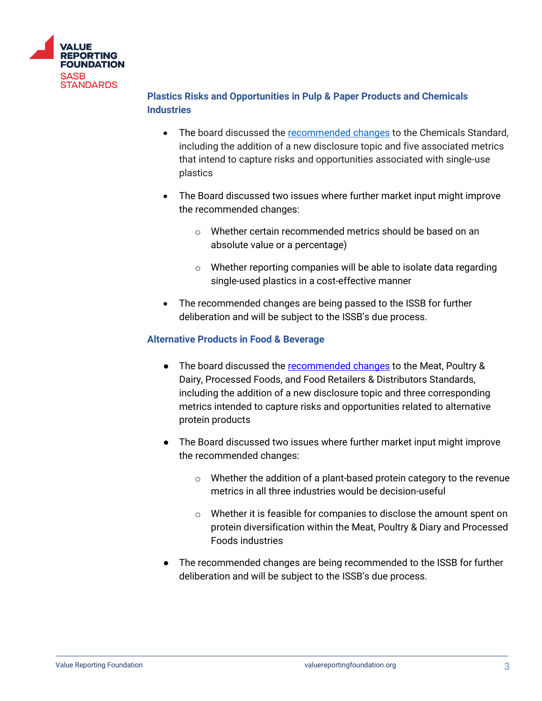

## **Plastics Risks and Opportunities in Pulp & Paper Products and Chemicals Industries**

- The board discussed the [recommended changes](https://www.sasb.org/wp-content/uploads/2022/06/PlasticsRecommendedChangesvF.pdf) to the Chemicals Standard, including the addition of a new disclosure topic and five associated metrics that intend to capture risks and opportunities associated with single-use plastics
- The Board discussed two issues where further market input might improve the recommended changes:
	- $\circ$  Whether certain recommended metrics should be based on an absolute value or a percentage)
	- $\circ$  Whether reporting companies will be able to isolate data regarding single-used plastics in a cost-effective manner
- The recommended changes are being passed to the ISSB for further deliberation and will be subject to the ISSB's due process.

## **Alternative Products in Food & Beverage**

- The board discussed the [recommended changes](https://www.sasb.org/wp-content/uploads/2022/06/AltProductsRecommendedChangesvF.pdf) to the Meat, Poultry & Dairy, Processed Foods, and Food Retailers & Distributors Standards, including the addition of a new disclosure topic and three corresponding metrics intended to capture risks and opportunities related to alternative protein products
- The Board discussed two issues where further market input might improve the recommended changes:
	- $\circ$  Whether the addition of a plant-based protein category to the revenue metrics in all three industries would be decision-useful
	- o Whether it is feasible for companies to disclose the amount spent on protein diversification within the Meat, Poultry & Diary and Processed Foods industries
- The recommended changes are being recommended to the ISSB for further deliberation and will be subject to the ISSB's due process.